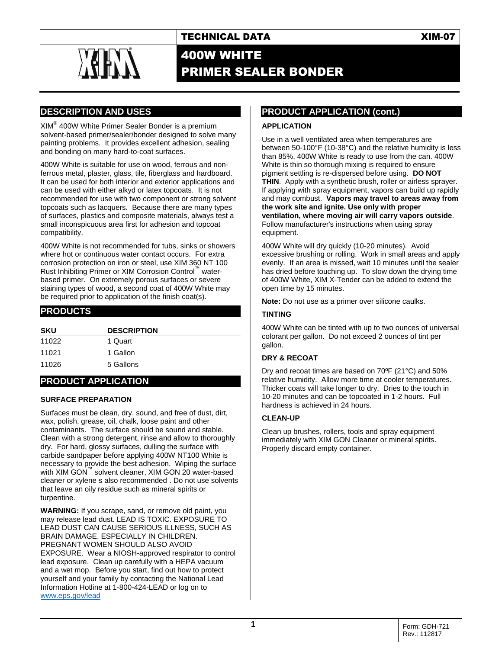

# 400W WHITE PRIMER SEALER BONDER

# **DESCRIPTION AND USES**

XIM® 400W White Primer Sealer Bonder is a premium solvent-based primer/sealer/bonder designed to solve many painting problems. It provides excellent adhesion, sealing and bonding on many hard-to-coat surfaces.

400W White is suitable for use on wood, ferrous and nonferrous metal, plaster, glass, tile, fiberglass and hardboard. It can be used for both interior and exterior applications and can be used with either alkyd or latex topcoats. It is not recommended for use with two component or strong solvent topcoats such as lacquers. Because there are many types of surfaces, plastics and composite materials, always test a small inconspicuous area first for adhesion and topcoat compatibility.

400W White is not recommended for tubs, sinks or showers where hot or continuous water contact occurs. For extra corrosion protection on iron or steel, use XIM 360 NT 100 Rust Inhibiting Primer or XIM Corrosion Control™ waterbased primer. On extremely porous surfaces or severe staining types of wood, a second coat of 400W White may be required prior to application of the finish coat(s).

### **PRODUCTS**

| <b>SKU</b> | <b>DESCRIPTION</b> |
|------------|--------------------|
| 11022      | 1 Quart            |
| 11021      | 1 Gallon           |
| 11026      | 5 Gallons          |

## **PRODUCT APPLICATION**

#### **SURFACE PREPARATION**

Surfaces must be clean, dry, sound, and free of dust, dirt, wax, polish, grease, oil, chalk, loose paint and other contaminants. The surface should be sound and stable. Clean with a strong detergent, rinse and allow to thoroughly dry. For hard, glossy surfaces, dulling the surface with carbide sandpaper before applying 400W NT100 White is necessary to provide the best adhesion. Wiping the surface with XIM GON<sup>™</sup> solvent cleaner, XIM GON 20 water-based cleaner or xylene s also recommended . Do not use solvents that leave an oily residue such as mineral spirits or turpentine.

**WARNING:** If you scrape, sand, or remove old paint, you may release lead dust. LEAD IS TOXIC. EXPOSURE TO LEAD DUST CAN CAUSE SERIOUS ILLNESS, SUCH AS BRAIN DAMAGE, ESPECIALLY IN CHILDREN. PREGNANT WOMEN SHOULD ALSO AVOID EXPOSURE. Wear a NIOSH-approved respirator to control lead exposure. Clean up carefully with a HEPA vacuum and a wet mop. Before you start, find out how to protect yourself and your family by contacting the National Lead Information Hotline at 1-800-424-LEAD or log on to [www.eps.gov/lead](http://www.eps.gov/lead)

## **PRODUCT APPLICATION (cont.)**

#### **APPLICATION**

Use in a well ventilated area when temperatures are between 50-100°F (10-38°C) and the relative humidity is less than 85%. 400W White is ready to use from the can. 400W White is thin so thorough mixing is required to ensure pigment settling is re-dispersed before using. **DO NOT THIN**. Apply with a synthetic brush, roller or airless sprayer. If applying with spray equipment, vapors can build up rapidly and may combust. **Vapors may travel to areas away from the work site and ignite. Use only with proper ventilation, where moving air will carry vapors outside**. Follow manufacturer's instructions when using spray equipment.

400W White will dry quickly (10-20 minutes). Avoid excessive brushing or rolling. Work in small areas and apply evenly. If an area is missed, wait 10 minutes until the sealer has dried before touching up. To slow down the drying time of 400W White, XIM X-Tender can be added to extend the open time by 15 minutes.

**Note:** Do not use as a primer over silicone caulks.

#### **TINTING**

400W White can be tinted with up to two ounces of universal colorant per gallon. Do not exceed 2 ounces of tint per gallon.

#### **DRY & RECOAT**

Dry and recoat times are based on 70ºF (21°C) and 50% relative humidity. Allow more time at cooler temperatures. Thicker coats will take longer to dry. Dries to the touch in 10-20 minutes and can be topcoated in 1-2 hours. Full hardness is achieved in 24 hours.

#### **CLEAN-UP**

Clean up brushes, rollers, tools and spray equipment immediately with XIM GON Cleaner or mineral spirits. Properly discard empty container.